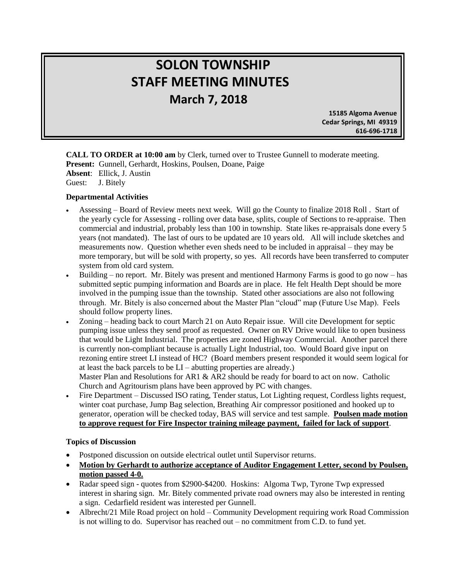# **SOLON TOWNSHIP STAFF MEETING MINUTES March 7, 2018**

 **15185 Algoma Avenue Cedar Springs, MI 49319 616-696-1718**

**CALL TO ORDER at 10:00 am** by Clerk, turned over to Trustee Gunnell to moderate meeting. **Present:** Gunnell, Gerhardt, Hoskins, Poulsen, Doane, Paige **Absent**: Ellick, J. Austin Guest: J. Bitely

### **Departmental Activities**

֞

- Assessing Board of Review meets next week. Will go the County to finalize 2018 Roll . Start of the yearly cycle for Assessing - rolling over data base, splits, couple of Sections to re-appraise. Then commercial and industrial, probably less than 100 in township. State likes re-appraisals done every 5 years (not mandated). The last of ours to be updated are 10 years old. All will include sketches and measurements now. Question whether even sheds need to be included in appraisal – they may be more temporary, but will be sold with property, so yes. All records have been transferred to computer system from old card system.
- Building no report. Mr. Bitely was present and mentioned Harmony Farms is good to go now has submitted septic pumping information and Boards are in place. He felt Health Dept should be more involved in the pumping issue than the township. Stated other associations are also not following through. Mr. Bitely is also concerned about the Master Plan "cloud" map (Future Use Map). Feels should follow property lines.
- Zoning heading back to court March 21 on Auto Repair issue. Will cite Development for septic pumping issue unless they send proof as requested. Owner on RV Drive would like to open business that would be Light Industrial. The properties are zoned Highway Commercial. Another parcel there is currently non-compliant because is actually Light Industrial, too. Would Board give input on rezoning entire street LI instead of HC? (Board members present responded it would seem logical for at least the back parcels to be LI – abutting properties are already.) Master Plan and Resolutions for AR1 & AR2 should be ready for board to act on now. Catholic Church and Agritourism plans have been approved by PC with changes.
- Fire Department Discussed ISO rating, Tender status, Lot Lighting request, Cordless lights request, winter coat purchase, Jump Bag selection, Breathing Air compressor positioned and hooked up to generator, operation will be checked today, BAS will service and test sample. **Poulsen made motion to approve request for Fire Inspector training mileage payment, failed for lack of support**.

### **Topics of Discussion**

- Postponed discussion on outside electrical outlet until Supervisor returns.
- **Motion by Gerhardt to authorize acceptance of Auditor Engagement Letter, second by Poulsen, motion passed 4-0.**
- Radar speed sign quotes from \$2900-\$4200. Hoskins: Algoma Twp, Tyrone Twp expressed interest in sharing sign. Mr. Bitely commented private road owners may also be interested in renting a sign. Cedarfield resident was interested per Gunnell.
- Albrecht/21 Mile Road project on hold Community Development requiring work Road Commission is not willing to do. Supervisor has reached out – no commitment from C.D. to fund yet.